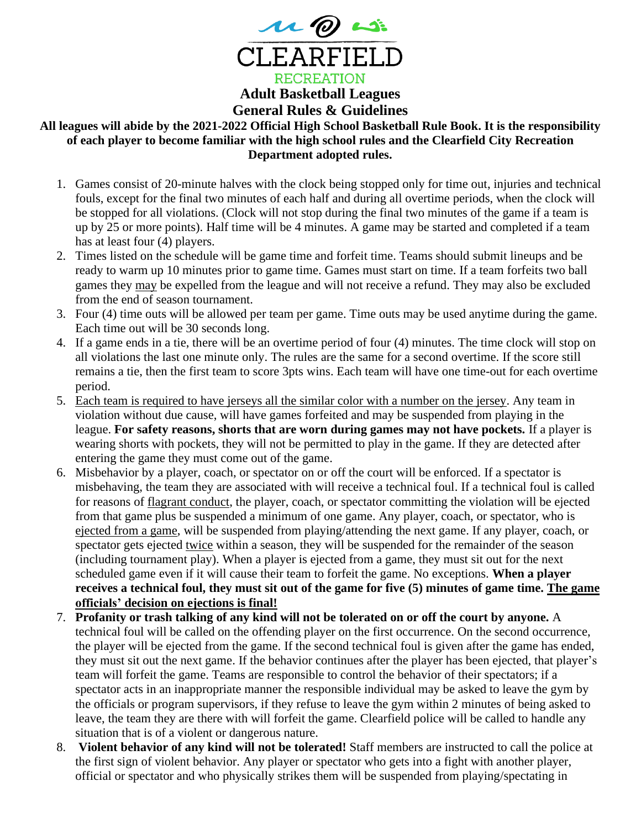

## **General Rules & Guidelines**

## **All leagues will abide by the 2021-2022 Official High School Basketball Rule Book. It is the responsibility of each player to become familiar with the high school rules and the Clearfield City Recreation Department adopted rules.**

- 1. Games consist of 20-minute halves with the clock being stopped only for time out, injuries and technical fouls, except for the final two minutes of each half and during all overtime periods, when the clock will be stopped for all violations. (Clock will not stop during the final two minutes of the game if a team is up by 25 or more points). Half time will be 4 minutes. A game may be started and completed if a team has at least four (4) players.
- 2. Times listed on the schedule will be game time and forfeit time. Teams should submit lineups and be ready to warm up 10 minutes prior to game time. Games must start on time. If a team forfeits two ball games they may be expelled from the league and will not receive a refund. They may also be excluded from the end of season tournament.
- 3. Four (4) time outs will be allowed per team per game. Time outs may be used anytime during the game. Each time out will be 30 seconds long.
- 4. If a game ends in a tie, there will be an overtime period of four (4) minutes. The time clock will stop on all violations the last one minute only. The rules are the same for a second overtime. If the score still remains a tie, then the first team to score 3pts wins. Each team will have one time-out for each overtime period.
- 5. Each team is required to have jerseys all the similar color with a number on the jersey. Any team in violation without due cause, will have games forfeited and may be suspended from playing in the league. **For safety reasons, shorts that are worn during games may not have pockets.** If a player is wearing shorts with pockets, they will not be permitted to play in the game. If they are detected after entering the game they must come out of the game.
- 6. Misbehavior by a player, coach, or spectator on or off the court will be enforced. If a spectator is misbehaving, the team they are associated with will receive a technical foul. If a technical foul is called for reasons of flagrant conduct, the player, coach, or spectator committing the violation will be ejected from that game plus be suspended a minimum of one game. Any player, coach, or spectator, who is ejected from a game, will be suspended from playing/attending the next game. If any player, coach, or spectator gets ejected twice within a season, they will be suspended for the remainder of the season (including tournament play). When a player is ejected from a game, they must sit out for the next scheduled game even if it will cause their team to forfeit the game. No exceptions. **When a player receives a technical foul, they must sit out of the game for five (5) minutes of game time. The game officials' decision on ejections is final!**
- 7. **Profanity or trash talking of any kind will not be tolerated on or off the court by anyone.** A technical foul will be called on the offending player on the first occurrence. On the second occurrence, the player will be ejected from the game. If the second technical foul is given after the game has ended, they must sit out the next game. If the behavior continues after the player has been ejected, that player's team will forfeit the game. Teams are responsible to control the behavior of their spectators; if a spectator acts in an inappropriate manner the responsible individual may be asked to leave the gym by the officials or program supervisors, if they refuse to leave the gym within 2 minutes of being asked to leave, the team they are there with will forfeit the game. Clearfield police will be called to handle any situation that is of a violent or dangerous nature.
- 8. **Violent behavior of any kind will not be tolerated!** Staff members are instructed to call the police at the first sign of violent behavior. Any player or spectator who gets into a fight with another player, official or spectator and who physically strikes them will be suspended from playing/spectating in